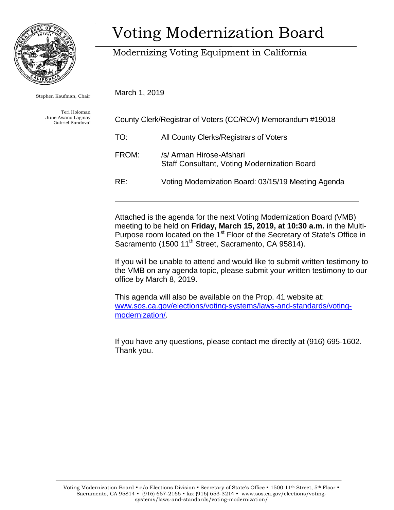

Stephen Kaufman, Chair

Teri Holoman June Awano Lagmay Gabriel Sandoval

# Voting Modernization Board

### Modernizing Voting Equipment in California

March 1, 2019

| County Clerk/Registrar of Voters (CC/ROV) Memorandum #19018 |                                                                                 |
|-------------------------------------------------------------|---------------------------------------------------------------------------------|
| TO:                                                         | All County Clerks/Registrars of Voters                                          |
| FROM:                                                       | /s/ Arman Hirose-Afshari<br><b>Staff Consultant, Voting Modernization Board</b> |
| RF:                                                         | Voting Modernization Board: 03/15/19 Meeting Agenda                             |

Attached is the agenda for the next Voting Modernization Board (VMB) meeting to be held on **Friday, March 15, 2019, at 10:30 a.m.** in the Multi-Purpose room located on the 1<sup>st</sup> Floor of the Secretary of State's Office in Sacramento (1500 11<sup>th</sup> Street, Sacramento, CA 95814).

I f you will be unable to attend and would like to submit written testimony to t he VMB on any agenda topic, please submit your written testimony to our office by March 8, 2019.

This agenda will also be available on the Prop. 41 website at: [www.sos.ca.gov/elections/voting-systems/laws-and-standards/voting](http://www.sos.ca.gov/elections/voting-systems/laws-and-standards/voting-modernization/)[modernization/.](http://www.sos.ca.gov/elections/voting-systems/laws-and-standards/voting-modernization/)

I f you have any questions, please contact me directly at (916) 695-1602. Thank you.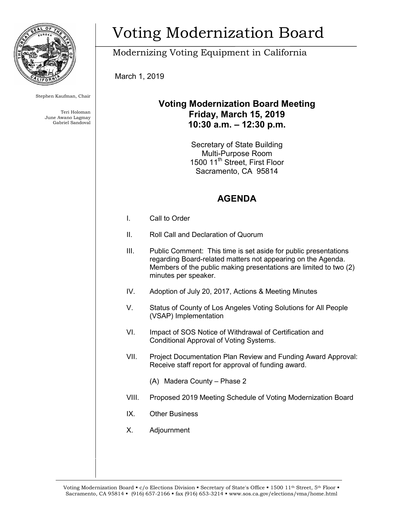

Stephen Kaufman, Chair

Teri Holoman June Awano Lagmay Gabriel Sandoval

# Voting Modernization Board

Modernizing Voting Equipment in California

March 1, 2019

#### **Voting Modernization Board Meeting Friday, March 15, 2019 10:30 a.m. – 12:30 p.m.**

Secretary of State Building Multi-Purpose Room 1500 11<sup>th</sup> Street, First Floor Sacramento, CA 95814

### **AGENDA**

- I. Call to Order
- II. Roll Call and Declaration of Quorum
- III. Public Comment: This time is set aside for public presentations regarding Board-related matters not appearing on the Agenda. Members of the public making presentations are limited to two (2) minutes per speaker.
- IV. Adoption of July 20, 2017, Actions & Meeting Minutes
- V. Status of County of Los Angeles Voting Solutions for All People (VSAP) Implementation
- VI. Impact of SOS Notice of Withdrawal of Certification and Conditional Approval of Voting Systems.
- VII. Project Documentation Plan Review and Funding Award Approval: Receive staff report for approval of funding award.
	- (A) Madera County Phase 2
- VIII. Proposed 2019 Meeting Schedule of Voting Modernization Board
- IX. Other Business
- X. Adjournment